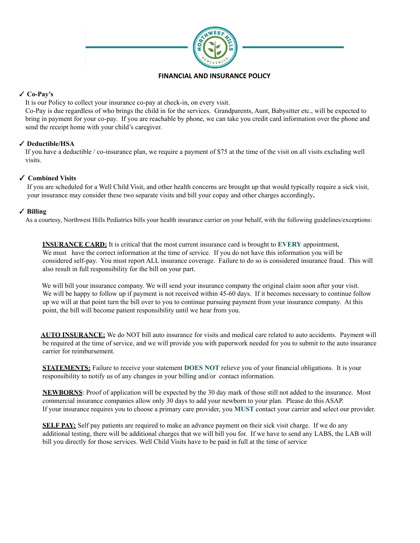

## **FINANCIAL AND INSURANCE POLICY**

# ✓ **Co-Pay's**

It is our Policy to collect your insurance co-pay at check-in, on every visit.

Co-Pay is due regardless of who brings the child in for the services. Grandparents, Aunt, Babysitter etc., will be expected to bring in payment for your co-pay. If you are reachable by phone, we can take you credit card information over the phone and send the receipt home with your child's caregiver.

# ✓ **Deductible/HSA**

If you have a deductible / co-insurance plan, we require a payment of \$75 at the time of the visit on all visits excluding well visits.

## ✓ **Combined Visits**

If you are scheduled for a Well Child Visit, and other health concerns are brought up that would typically require a sick visit, your insurance may consider these two separate visits and bill your copay and other charges accordingly**.**

## ✓ **Billing**

As a courtesy, Northwest Hills Pediatrics bills your health insurance carrier on your behalf, with the following guidelines/exceptions:

**INSURANCE CARD:** It is critical that the most current insurance card is brought to **EVERY** appointment**.** We must have the correct information at the time of service. If you do not have this information you will be considered self-pay. You must report ALL insurance coverage. Failure to do so is considered insurance fraud. This will also result in full responsibility for the bill on your part.

We will bill your insurance company. We will send your insurance company the original claim soon after your visit. We will be happy to follow up if payment is not received within 45-60 days. If it becomes necessary to continue follow up we will at that point turn the bill over to you to continue pursuing payment from your insurance company. At this point, the bill will become patient responsibility until we hear from you.

**AUTO INSURANCE:** We do NOT bill auto insurance for visits and medical care related to auto accidents. Payment will be required at the time of service, and we will provide you with paperwork needed for you to submit to the auto insurance carrier for reimbursement.

**STATEMENTS:** Failure to receive your statement **DOES NOT** relieve you of your financial obligations. It is your responsibility to notify us of any changes in your billing and/or contact information.

**NEWBORNS**: Proof of application will be expected by the 30 day mark of those still not added to the insurance. Most commercial insurance companies allow only 30 days to add your newborn to your plan. Please do this ASAP. If your insurance requires you to choose a primary care provider, you **MUST** contact your carrier and select our provider.

**SELF PAY:** Self pay patients are required to make an advance payment on their sick visit charge. If we do any additional testing, there will be additional charges that we will bill you for. If we have to send any LABS, the LAB will bill you directly for those services. Well Child Visits have to be paid in full at the time of service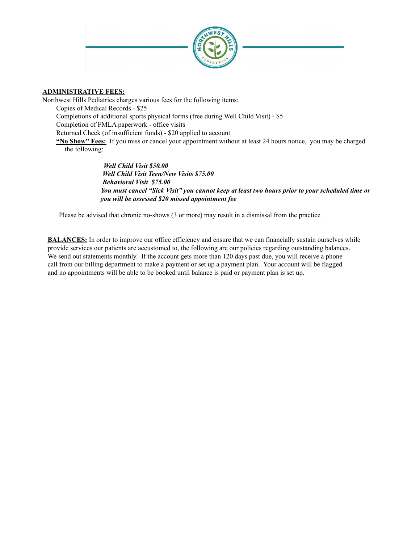

## **ADMINISTRATIVE FEES:**

Northwest Hills Pediatrics charges various fees for the following items: Copies of Medical Records - \$25 Completions of additional sports physical forms (free during Well Child Visit) - \$5 Completion of FMLA paperwork - office visits Returned Check (of insufficient funds) - \$20 applied to account **"No Show" Fees:** If you miss or cancel your appointment without at least 24 hours notice, you may be charged the following:

> *Well Child Visit \$50.00 Well Child Visit Teen/New Visits \$75.00 Behavioral Visit \$75.00 You must cancel "Sick Visit" you cannot keep at least two hours prior to your scheduled time or you will be assessed \$20 missed appointment fee*

Please be advised that chronic no-shows (3 or more) may result in a dismissal from the practice

**BALANCES:** In order to improve our office efficiency and ensure that we can financially sustain ourselves while provide services our patients are accustomed to, the following are our policies regarding outstanding balances. We send out statements monthly. If the account gets more than 120 days past due, you will receive a phone call from our billing department to make a payment or set up a payment plan. Your account will be flagged and no appointments will be able to be booked until balance is paid or payment plan is set up.